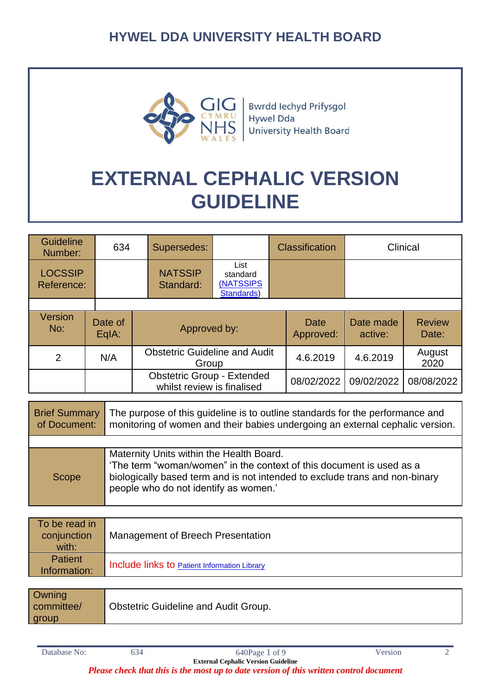

**Bwrdd lechyd Prifysgol** Hywel Dda **University Health Board** 

# **EXTERNAL CEPHALIC VERSION GUIDELINE**

| <b>Guideline</b><br>634<br>Number: |                    | Supersedes:                 |                                                                 |  | <b>Classification</b> | Clinical             |                        |
|------------------------------------|--------------------|-----------------------------|-----------------------------------------------------------------|--|-----------------------|----------------------|------------------------|
| <b>LOCSSIP</b><br>Reference:       |                    | <b>NATSSIP</b><br>Standard: | List<br>standard<br>(NATSSIPS<br>Standards)                     |  |                       |                      |                        |
|                                    |                    |                             |                                                                 |  |                       |                      |                        |
| Version<br>No:                     | Date of<br>$EqA$ : |                             | Approved by:                                                    |  | Date<br>Approved:     | Date made<br>active: | <b>Review</b><br>Date: |
| $\overline{2}$                     | N/A                |                             | <b>Obstetric Guideline and Audit</b><br>Group                   |  | 4.6.2019              | 4.6.2019             | August<br>2020         |
|                                    |                    |                             | <b>Obstetric Group - Extended</b><br>whilst review is finalised |  | 08/02/2022            | 09/02/2022           | 08/08/2022             |

| <b>Brief Summary</b><br>of Document: | The purpose of this guideline is to outline standards for the performance and<br>monitoring of women and their babies undergoing an external cephalic version.                                                                           |
|--------------------------------------|------------------------------------------------------------------------------------------------------------------------------------------------------------------------------------------------------------------------------------------|
|                                      |                                                                                                                                                                                                                                          |
| Scope                                | Maternity Units within the Health Board.<br>'The term "woman/women" in the context of this document is used as a<br>biologically based term and is not intended to exclude trans and non-binary<br>people who do not identify as women.' |

| To be read in<br>conjunction<br>with: | Management of Breech Presentation                   |
|---------------------------------------|-----------------------------------------------------|
| <b>Patient</b><br>Information:        | Include links to <b>Patient Information Library</b> |

| Owning<br>committee/<br>  group | Obstetric Guideline and Audit Group. |
|---------------------------------|--------------------------------------|
|---------------------------------|--------------------------------------|

*Please check that this is the most up to date version of this written control document*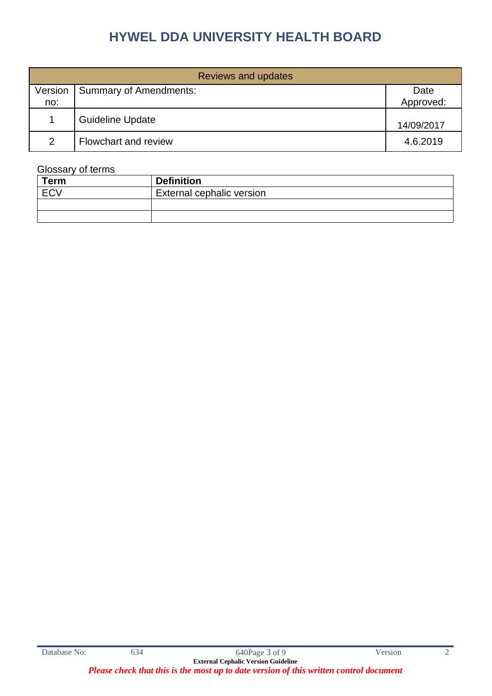| Reviews and updates |                         |            |  |
|---------------------|-------------------------|------------|--|
| Version             | Summary of Amendments:  | Date       |  |
| no:                 |                         | Approved:  |  |
|                     | <b>Guideline Update</b> | 14/09/2017 |  |
| $\mathcal{P}$       | Flowchart and review    | 4.6.2019   |  |

## Glossary of terms

| <b>Term</b> | <b>Definition</b>         |
|-------------|---------------------------|
| <b>ECV</b>  | External cephalic version |
|             |                           |
|             |                           |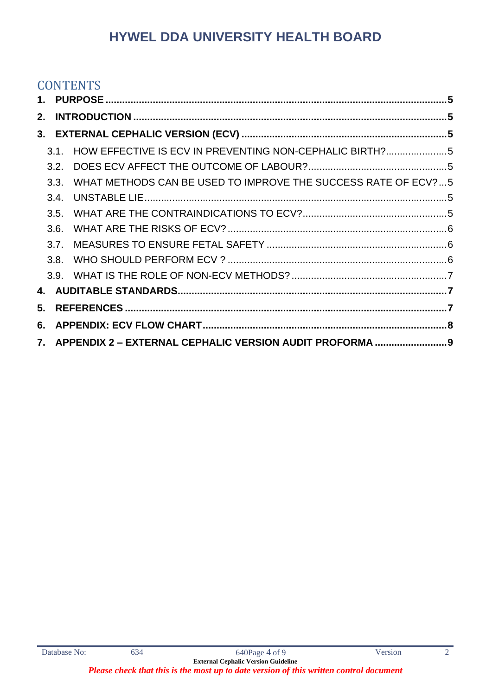## **CONTENTS**

|      | 3.1. HOW EFFECTIVE IS ECV IN PREVENTING NON-CEPHALIC BIRTH?5       |  |
|------|--------------------------------------------------------------------|--|
| 3.2. |                                                                    |  |
|      | 3.3. WHAT METHODS CAN BE USED TO IMPROVE THE SUCCESS RATE OF ECV?5 |  |
| 3.4. |                                                                    |  |
| 3.5. |                                                                    |  |
| 3.6. |                                                                    |  |
|      |                                                                    |  |
|      |                                                                    |  |
|      |                                                                    |  |
|      |                                                                    |  |
|      |                                                                    |  |
|      |                                                                    |  |
|      | 7. APPENDIX 2 - EXTERNAL CEPHALIC VERSION AUDIT PROFORMA  9        |  |
|      |                                                                    |  |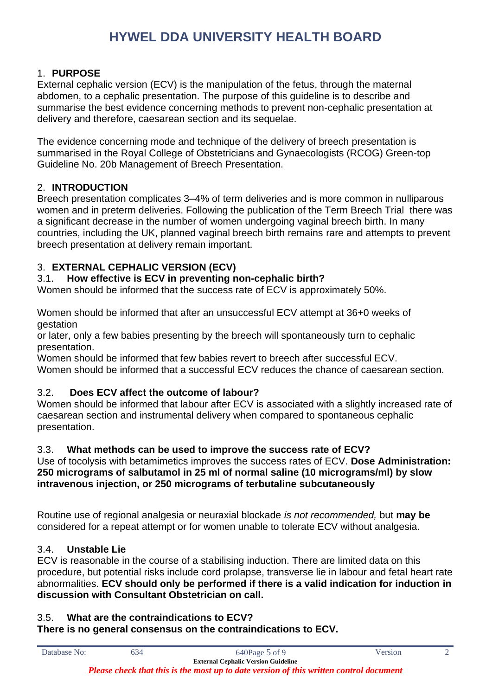## <span id="page-4-0"></span>1. **PURPOSE**

External cephalic version (ECV) is the manipulation of the fetus, through the maternal abdomen, to a cephalic presentation. The purpose of this guideline is to describe and summarise the best evidence concerning methods to prevent non-cephalic presentation at delivery and therefore, caesarean section and its sequelae.

The evidence concerning mode and technique of the delivery of breech presentation is summarised in the Royal College of Obstetricians and Gynaecologists (RCOG) Green-top Guideline No. 20b Management of Breech Presentation.

### <span id="page-4-1"></span>2. **INTRODUCTION**

Breech presentation complicates 3–4% of term deliveries and is more common in nulliparous women and in preterm deliveries. Following the publication of the Term Breech Trial there was a significant decrease in the number of women undergoing vaginal breech birth. In many countries, including the UK, planned vaginal breech birth remains rare and attempts to prevent breech presentation at delivery remain important.

## <span id="page-4-2"></span>3. **EXTERNAL CEPHALIC VERSION (ECV)**

## <span id="page-4-3"></span>3.1. **How effective is ECV in preventing non-cephalic birth?**

Women should be informed that the success rate of ECV is approximately 50%.

Women should be informed that after an unsuccessful ECV attempt at 36+0 weeks of gestation

or later, only a few babies presenting by the breech will spontaneously turn to cephalic presentation.

Women should be informed that few babies revert to breech after successful ECV. Women should be informed that a successful ECV reduces the chance of caesarean section.

## <span id="page-4-4"></span>3.2. **Does ECV affect the outcome of labour?**

Women should be informed that labour after ECV is associated with a slightly increased rate of caesarean section and instrumental delivery when compared to spontaneous cephalic presentation.

## <span id="page-4-5"></span>3.3. **What methods can be used to improve the success rate of ECV?**

Use of tocolysis with betamimetics improves the success rates of ECV. **Dose Administration: 250 micrograms of salbutamol in 25 ml of normal saline (10 micrograms/ml) by slow intravenous injection, or 250 micrograms of terbutaline subcutaneously**

Routine use of regional analgesia or neuraxial blockade *is not recommended,* but **may be** considered for a repeat attempt or for women unable to tolerate ECV without analgesia.

#### <span id="page-4-6"></span>3.4. **Unstable Lie**

ECV is reasonable in the course of a stabilising induction. There are limited data on this procedure, but potential risks include cord prolapse, transverse lie in labour and fetal heart rate abnormalities. **ECV should only be performed if there is a valid indication for induction in discussion with Consultant Obstetrician on call.**

## <span id="page-4-7"></span>3.5. **What are the contraindications to ECV?**

**There is no general consensus on the contraindications to ECV.**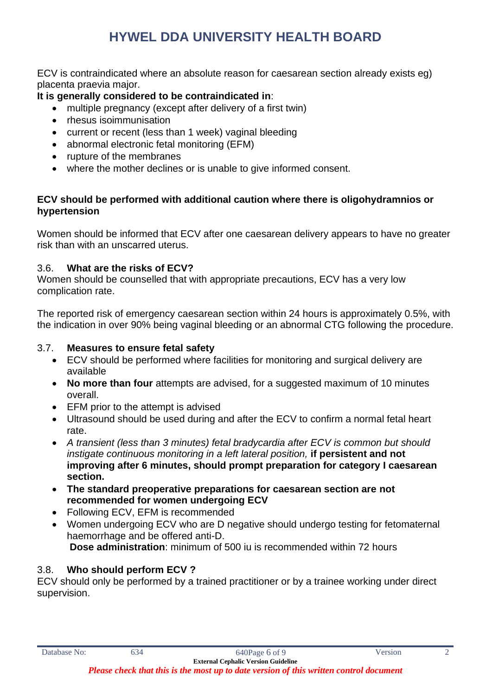ECV is contraindicated where an absolute reason for caesarean section already exists eg) placenta praevia major.

## **It is generally considered to be contraindicated in**:

- multiple pregnancy (except after delivery of a first twin)
- rhesus isoimmunisation
- current or recent (less than 1 week) vaginal bleeding
- abnormal electronic fetal monitoring (EFM)
- rupture of the membranes
- where the mother declines or is unable to give informed consent.

## **ECV should be performed with additional caution where there is oligohydramnios or hypertension**

Women should be informed that ECV after one caesarean delivery appears to have no greater risk than with an unscarred uterus.

## <span id="page-5-0"></span>3.6. **What are the risks of ECV?**

Women should be counselled that with appropriate precautions, ECV has a very low complication rate.

The reported risk of emergency caesarean section within 24 hours is approximately 0.5%, with the indication in over 90% being vaginal bleeding or an abnormal CTG following the procedure.

## <span id="page-5-1"></span>3.7. **Measures to ensure fetal safety**

- ECV should be performed where facilities for monitoring and surgical delivery are available
- **No more than four** attempts are advised, for a suggested maximum of 10 minutes overall.
- EFM prior to the attempt is advised
- Ultrasound should be used during and after the ECV to confirm a normal fetal heart rate.
- *A transient (less than 3 minutes) fetal bradycardia after ECV is common but should instigate continuous monitoring in a left lateral position,* **if persistent and not improving after 6 minutes, should prompt preparation for category I caesarean section.**
- **The standard preoperative preparations for caesarean section are not recommended for women undergoing ECV**
- Following ECV, EFM is recommended
- Women undergoing ECV who are D negative should undergo testing for fetomaternal haemorrhage and be offered anti-D. **Dose administration**: minimum of 500 iu is recommended within 72 hours

## <span id="page-5-2"></span>3.8. **Who should perform ECV ?**

ECV should only be performed by a trained practitioner or by a trainee working under direct supervision.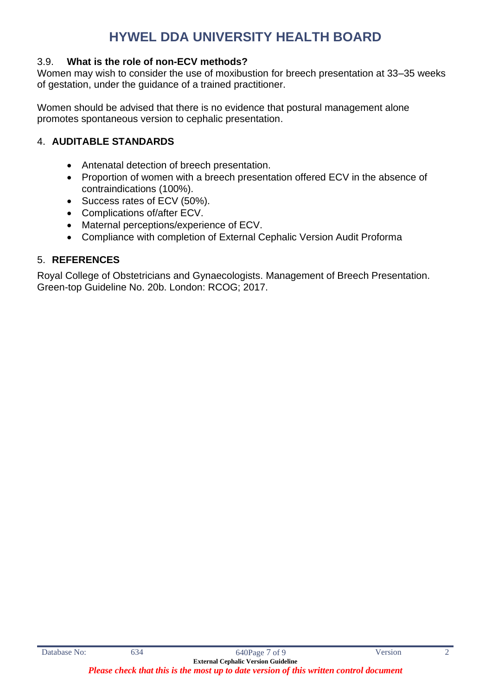## <span id="page-6-0"></span>3.9. **What is the role of non-ECV methods?**

Women may wish to consider the use of moxibustion for breech presentation at 33–35 weeks of gestation, under the guidance of a trained practitioner.

Women should be advised that there is no evidence that postural management alone promotes spontaneous version to cephalic presentation.

## <span id="page-6-1"></span>4. **AUDITABLE STANDARDS**

- Antenatal detection of breech presentation.
- Proportion of women with a breech presentation offered ECV in the absence of contraindications (100%).
- Success rates of ECV (50%).
- Complications of/after ECV.
- Maternal perceptions/experience of ECV.
- Compliance with completion of External Cephalic Version Audit Proforma

## <span id="page-6-2"></span>5. **REFERENCES**

Royal College of Obstetricians and Gynaecologists. Management of Breech Presentation. Green-top Guideline No. 20b. London: RCOG; 2017.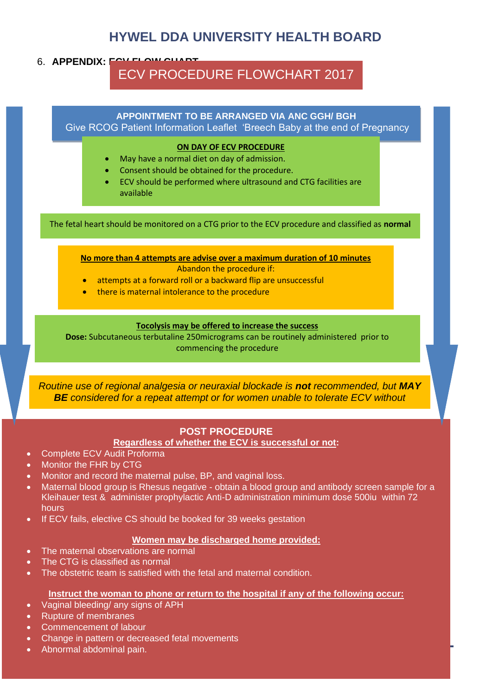#### <span id="page-7-0"></span>6. **APPENDIX: ECV FLOW CHART**

## ECV PROCEDURE FLOWCHART 2017

#### **APPOINTMENT TO BE ARRANGED VIA ANC GGH/ BGH**

Give RCOG Patient Information Leaflet 'Breech Baby at the end of Pregnancy

#### 2017 **ON DAY OF ECV PROCEDURE**

- May have a normal diet on day of admission.
- Consent should be obtained for the procedure.
- ECV should be performed where ultrasound and CTG facilities are available

The fetal heart should be monitored on a CTG prior to the ECV procedure and classified as **normal**

**No more than 4 attempts are advise over a maximum duration of 10 minutes**

Abandon the procedure if:

- attempts at a forward roll or a backward flip are unsuccessful
- there is maternal intolerance to the procedure

#### **Tocolysis may be offered to increase the success**

**Dose:** Subcutaneous terbutaline 250micrograms can be routinely administered prior to commencing the procedure

*Routine use of regional analgesia or neuraxial blockade is not recommended, but MAY BE considered for a repeat attempt or for women unable to tolerate ECV without* 

*analgesia.*

## **POST PROCEDURE**

#### **Regardless of whether the ECV is successful or not:**

- Complete ECV Audit Proforma
- Monitor the FHR by CTG
- Monitor and record the maternal pulse, BP, and vaginal loss.
- Maternal blood group is Rhesus negative obtain a blood group and antibody screen sample for a Kleihauer test & administer prophylactic Anti-D administration minimum dose 500iu within 72 hours
- If ECV fails, elective CS should be booked for 39 weeks gestation

#### **Women may be discharged home provided:**

- The maternal observations are normal
- The CTG is classified as normal
- The obstetric team is satisfied with the fetal and maternal condition.

#### **Instruct the woman to phone or return to the hospital if any of the following occur:**

- Vaginal bleeding/ any signs of APH
- Rupture of membranes
- Commencement of labour
- Change in pattern or decreased fetal movements
- Database No: 634 640Page 8 of 9 Version 2 Abnormal abdominal pain.